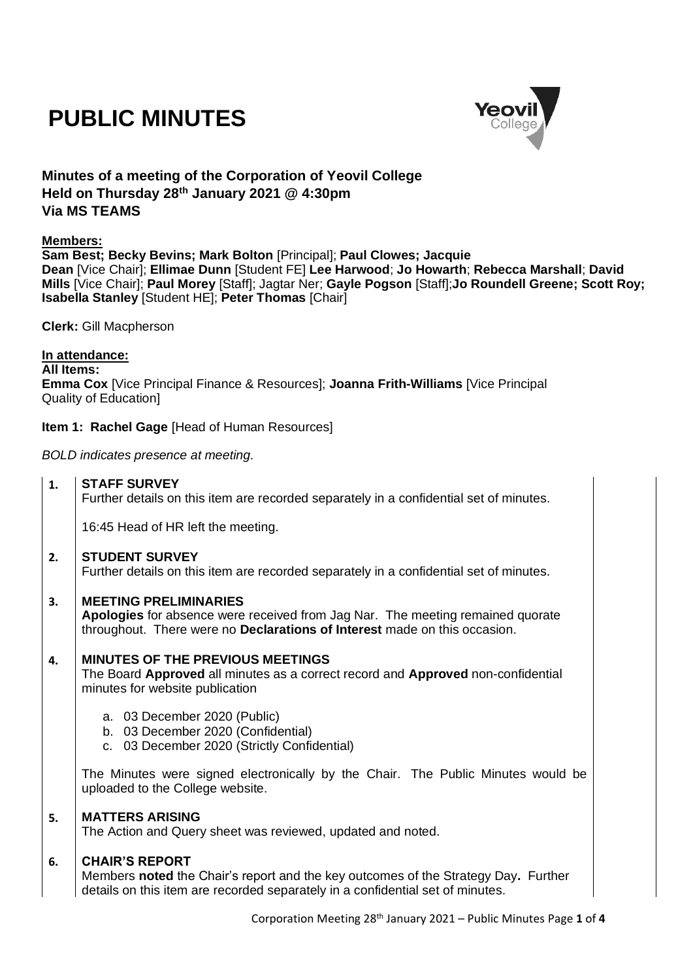# **PUBLIC MINUTES**



# **Minutes of a meeting of the Corporation of Yeovil College Held on Thursday 28th January 2021 @ 4:30pm Via MS TEAMS**

#### **Members:**

**Sam Best; Becky Bevins; Mark Bolton** [Principal]; **Paul Clowes; Jacquie Dean** [Vice Chair]; **Ellimae Dunn** [Student FE] **Lee Harwood**; **Jo Howarth**; **Rebecca Marshall**; **David Mills** [Vice Chair]; **Paul Morey** [Staff]; Jagtar Ner; **Gayle Pogson** [Staff];**Jo Roundell Greene; Scott Roy; Isabella Stanley** [Student HE]; **Peter Thomas** [Chair]

**Clerk:** Gill Macpherson

#### **In attendance:**

**All Items:**

**Emma Cox** [Vice Principal Finance & Resources]; **Joanna Frith-Williams** [Vice Principal Quality of Education]

#### **Item 1: Rachel Gage** [Head of Human Resources]

*BOLD indicates presence at meeting.*

**1. STAFF SURVEY**

Further details on this item are recorded separately in a confidential set of minutes.

16:45 Head of HR left the meeting.

#### **2. STUDENT SURVEY**

Further details on this item are recorded separately in a confidential set of minutes.

#### **3. MEETING PRELIMINARIES**

**Apologies** for absence were received from Jag Nar. The meeting remained quorate throughout. There were no **Declarations of Interest** made on this occasion.

#### **4. MINUTES OF THE PREVIOUS MEETINGS**

The Board **Approved** all minutes as a correct record and **Approved** non-confidential minutes for website publication

- a. 03 December 2020 (Public)
- b. 03 December 2020 (Confidential)
- c. 03 December 2020 (Strictly Confidential)

The Minutes were signed electronically by the Chair. The Public Minutes would be uploaded to the College website.

#### **5. MATTERS ARISING**

The Action and Query sheet was reviewed, updated and noted.

#### **6. CHAIR'S REPORT**

Members **noted** the Chair's report and the key outcomes of the Strategy Day**.** Further details on this item are recorded separately in a confidential set of minutes.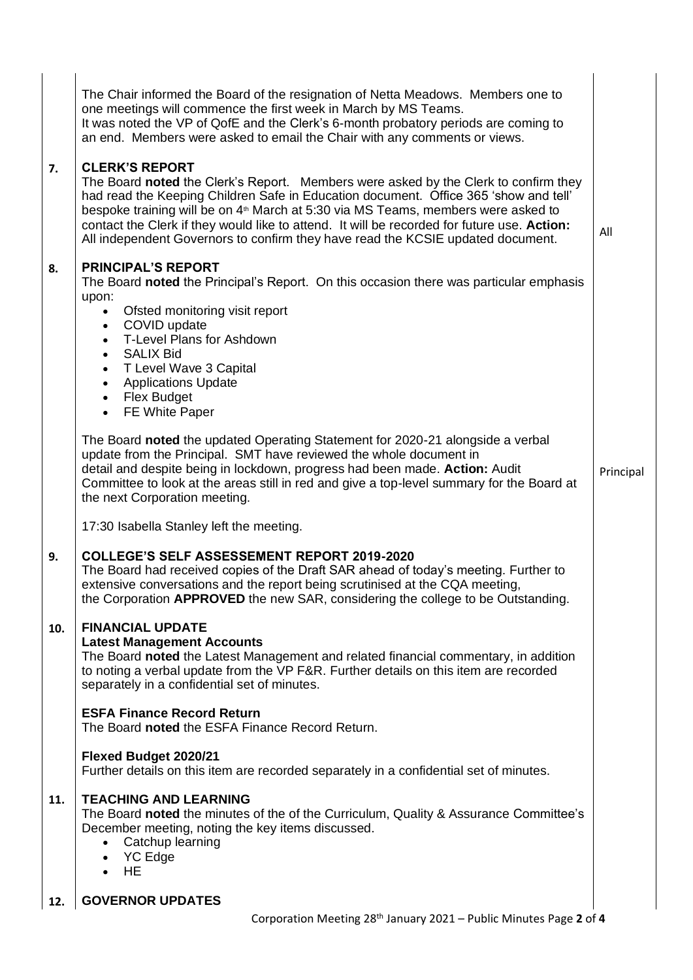|     | The Chair informed the Board of the resignation of Netta Meadows. Members one to<br>one meetings will commence the first week in March by MS Teams.<br>It was noted the VP of QofE and the Clerk's 6-month probatory periods are coming to<br>an end. Members were asked to email the Chair with any comments or views.                                                                                                                                                                 |           |
|-----|-----------------------------------------------------------------------------------------------------------------------------------------------------------------------------------------------------------------------------------------------------------------------------------------------------------------------------------------------------------------------------------------------------------------------------------------------------------------------------------------|-----------|
| 7.  | <b>CLERK'S REPORT</b><br>The Board noted the Clerk's Report. Members were asked by the Clerk to confirm they<br>had read the Keeping Children Safe in Education document. Office 365 'show and tell'<br>bespoke training will be on 4 <sup>th</sup> March at 5:30 via MS Teams, members were asked to<br>contact the Clerk if they would like to attend. It will be recorded for future use. Action:<br>All independent Governors to confirm they have read the KCSIE updated document. | All       |
| 8.  | <b>PRINCIPAL'S REPORT</b><br>The Board noted the Principal's Report. On this occasion there was particular emphasis<br>upon:<br>Ofsted monitoring visit report<br>$\bullet$<br>• COVID update<br>• T-Level Plans for Ashdown<br>• SALIX Bid<br>• T Level Wave 3 Capital<br><b>Applications Update</b><br>$\bullet$<br>• Flex Budget<br>FE White Paper<br>$\bullet$                                                                                                                      |           |
|     | The Board noted the updated Operating Statement for 2020-21 alongside a verbal<br>update from the Principal. SMT have reviewed the whole document in<br>detail and despite being in lockdown, progress had been made. Action: Audit<br>Committee to look at the areas still in red and give a top-level summary for the Board at<br>the next Corporation meeting.                                                                                                                       | Principal |
|     | 17:30 Isabella Stanley left the meeting.                                                                                                                                                                                                                                                                                                                                                                                                                                                |           |
| 9.  | <b>COLLEGE'S SELF ASSESSEMENT REPORT 2019-2020</b><br>The Board had received copies of the Draft SAR ahead of today's meeting. Further to<br>extensive conversations and the report being scrutinised at the CQA meeting,<br>the Corporation APPROVED the new SAR, considering the college to be Outstanding.                                                                                                                                                                           |           |
| 10. | <b>FINANCIAL UPDATE</b><br><b>Latest Management Accounts</b><br>The Board noted the Latest Management and related financial commentary, in addition<br>to noting a verbal update from the VP F&R. Further details on this item are recorded<br>separately in a confidential set of minutes.                                                                                                                                                                                             |           |
|     | <b>ESFA Finance Record Return</b><br>The Board noted the ESFA Finance Record Return.                                                                                                                                                                                                                                                                                                                                                                                                    |           |
|     | Flexed Budget 2020/21<br>Further details on this item are recorded separately in a confidential set of minutes.                                                                                                                                                                                                                                                                                                                                                                         |           |
| 11. | <b>TEACHING AND LEARNING</b><br>The Board noted the minutes of the of the Curriculum, Quality & Assurance Committee's<br>December meeting, noting the key items discussed.<br>Catchup learning<br>YC Edge<br><b>HE</b><br>$\bullet$                                                                                                                                                                                                                                                     |           |
| 12. | <b>GOVERNOR UPDATES</b>                                                                                                                                                                                                                                                                                                                                                                                                                                                                 |           |
|     | Corporation Meeting 28 <sup>th</sup> January 2021 – Public Minutes Page 2 of 4                                                                                                                                                                                                                                                                                                                                                                                                          |           |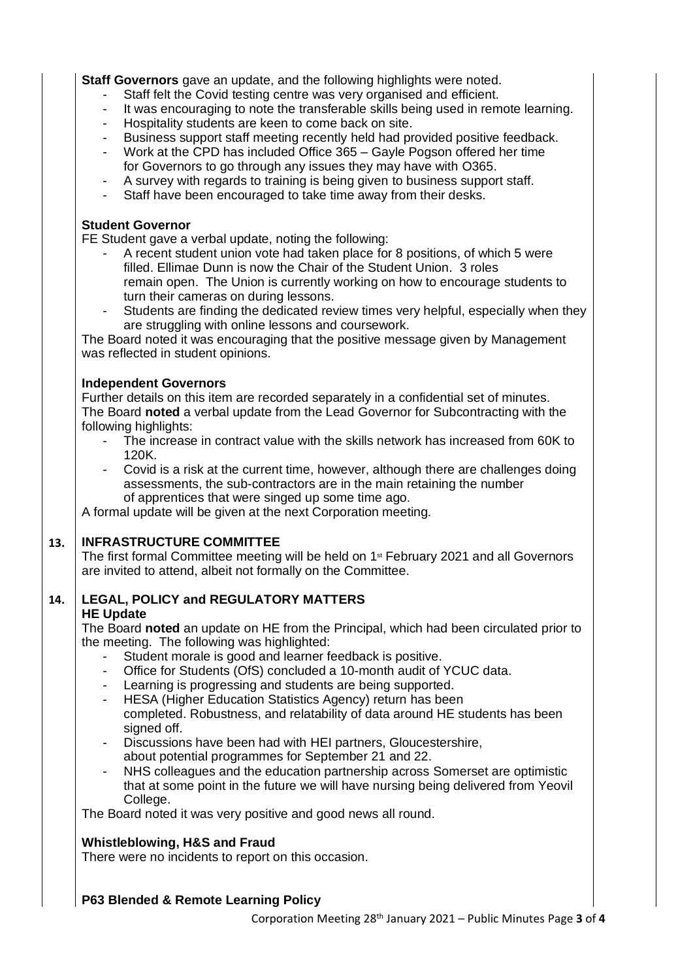**Staff Governors** gave an update, and the following highlights were noted.

- Staff felt the Covid testing centre was very organised and efficient.
- It was encouraging to note the transferable skills being used in remote learning.
- Hospitality students are keen to come back on site.
- Business support staff meeting recently held had provided positive feedback.
- Work at the CPD has included Office 365 Gayle Pogson offered her time for Governors to go through any issues they may have with O365.
- A survey with regards to training is being given to business support staff.
- Staff have been encouraged to take time away from their desks.

#### **Student Governor**

FE Student gave a verbal update, noting the following:

- A recent student union vote had taken place for 8 positions, of which 5 were filled. Ellimae Dunn is now the Chair of the Student Union. 3 roles remain open. The Union is currently working on how to encourage students to turn their cameras on during lessons.
- Students are finding the dedicated review times very helpful, especially when they are struggling with online lessons and coursework.

The Board noted it was encouraging that the positive message given by Management was reflected in student opinions.

#### **Independent Governors**

Further details on this item are recorded separately in a confidential set of minutes. The Board **noted** a verbal update from the Lead Governor for Subcontracting with the following highlights:

- The increase in contract value with the skills network has increased from 60K to 120K.
- Covid is a risk at the current time, however, although there are challenges doing assessments, the sub-contractors are in the main retaining the number of apprentices that were singed up some time ago.

A formal update will be given at the next Corporation meeting.

# **13. INFRASTRUCTURE COMMITTEE**

The first formal Committee meeting will be held on  $1<sup>st</sup>$  February 2021 and all Governors are invited to attend, albeit not formally on the Committee.

# **14. LEGAL, POLICY and REGULATORY MATTERS**

#### **HE Update**

The Board **noted** an update on HE from the Principal, which had been circulated prior to the meeting. The following was highlighted:

- Student morale is good and learner feedback is positive.
- Office for Students (OfS) concluded a 10-month audit of YCUC data.
- Learning is progressing and students are being supported.
- HESA (Higher Education Statistics Agency) return has been completed. Robustness, and relatability of data around HE students has been signed off.
- Discussions have been had with HEI partners, Gloucestershire, about potential programmes for September 21 and 22.
- NHS colleagues and the education partnership across Somerset are optimistic that at some point in the future we will have nursing being delivered from Yeovil College.

The Board noted it was very positive and good news all round.

# **Whistleblowing, H&S and Fraud**

There were no incidents to report on this occasion.

# **P63 Blended & Remote Learning Policy**